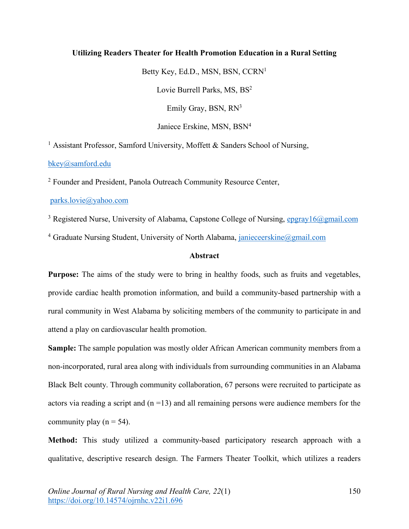# **Utilizing Readers Theater for Health Promotion Education in a Rural Setting**

Betty Key, Ed.D., MSN, BSN, CCRN1 Lovie Burrell Parks, MS, BS<sup>2</sup> Emily Gray, BSN, RN<sup>3</sup> Janiece Erskine, MSN, BSN4

<sup>1</sup> Assistant Professor, Samford University, Moffett  $\&$  Sanders School of Nursing,

bkey@samford.edu

<sup>2</sup> Founder and President, Panola Outreach Community Resource Center,

parks.lovie@yahoo.com

<sup>3</sup> Registered Nurse, University of Alabama, Capstone College of Nursing, epgray16@gmail.com

<sup>4</sup> Graduate Nursing Student, University of North Alabama, janieceerskine@gmail.com

# **Abstract**

**Purpose:** The aims of the study were to bring in healthy foods, such as fruits and vegetables, provide cardiac health promotion information, and build a community-based partnership with a rural community in West Alabama by soliciting members of the community to participate in and attend a play on cardiovascular health promotion.

**Sample:** The sample population was mostly older African American community members from a non-incorporated, rural area along with individuals from surrounding communities in an Alabama Black Belt county. Through community collaboration, 67 persons were recruited to participate as actors via reading a script and  $(n = 13)$  and all remaining persons were audience members for the community play ( $n = 54$ ).

**Method:** This study utilized a community-based participatory research approach with a qualitative, descriptive research design. The Farmers Theater Toolkit, which utilizes a readers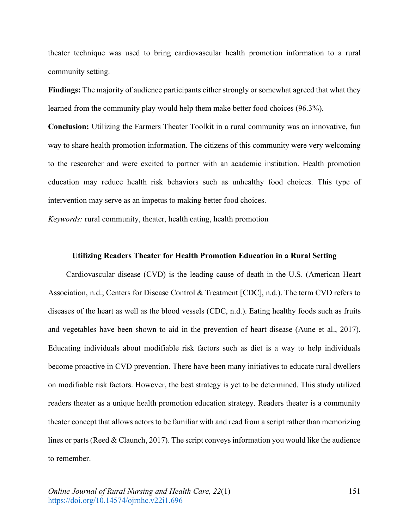theater technique was used to bring cardiovascular health promotion information to a rural community setting.

**Findings:** The majority of audience participants either strongly or somewhat agreed that what they learned from the community play would help them make better food choices (96.3%).

**Conclusion:** Utilizing the Farmers Theater Toolkit in a rural community was an innovative, fun way to share health promotion information. The citizens of this community were very welcoming to the researcher and were excited to partner with an academic institution. Health promotion education may reduce health risk behaviors such as unhealthy food choices. This type of intervention may serve as an impetus to making better food choices.

*Keywords:* rural community, theater, health eating, health promotion

### **Utilizing Readers Theater for Health Promotion Education in a Rural Setting**

Cardiovascular disease (CVD) is the leading cause of death in the U.S. (American Heart Association, n.d.; Centers for Disease Control & Treatment [CDC], n.d.). The term CVD refers to diseases of the heart as well as the blood vessels (CDC, n.d.). Eating healthy foods such as fruits and vegetables have been shown to aid in the prevention of heart disease (Aune et al., 2017). Educating individuals about modifiable risk factors such as diet is a way to help individuals become proactive in CVD prevention. There have been many initiatives to educate rural dwellers on modifiable risk factors. However, the best strategy is yet to be determined. This study utilized readers theater as a unique health promotion education strategy. Readers theater is a community theater concept that allows actors to be familiar with and read from a script rather than memorizing lines or parts (Reed & Claunch, 2017). The script conveys information you would like the audience to remember.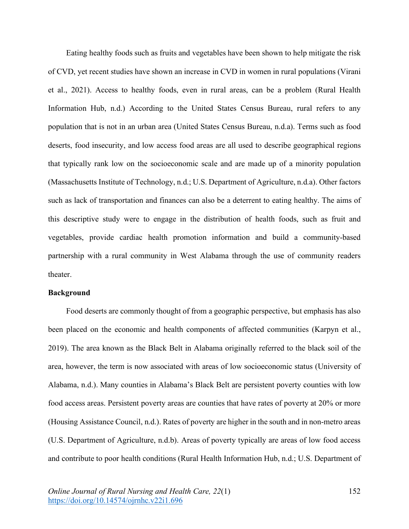Eating healthy foods such as fruits and vegetables have been shown to help mitigate the risk of CVD, yet recent studies have shown an increase in CVD in women in rural populations (Virani et al., 2021). Access to healthy foods, even in rural areas, can be a problem (Rural Health Information Hub, n.d.) According to the United States Census Bureau, rural refers to any population that is not in an urban area (United States Census Bureau, n.d.a). Terms such as food deserts, food insecurity, and low access food areas are all used to describe geographical regions that typically rank low on the socioeconomic scale and are made up of a minority population (Massachusetts Institute of Technology, n.d.; U.S. Department of Agriculture, n.d.a). Other factors such as lack of transportation and finances can also be a deterrent to eating healthy. The aims of this descriptive study were to engage in the distribution of health foods, such as fruit and vegetables, provide cardiac health promotion information and build a community-based partnership with a rural community in West Alabama through the use of community readers theater.

#### **Background**

Food deserts are commonly thought of from a geographic perspective, but emphasis has also been placed on the economic and health components of affected communities (Karpyn et al., 2019). The area known as the Black Belt in Alabama originally referred to the black soil of the area, however, the term is now associated with areas of low socioeconomic status (University of Alabama, n.d.). Many counties in Alabama's Black Belt are persistent poverty counties with low food access areas. Persistent poverty areas are counties that have rates of poverty at 20% or more (Housing Assistance Council, n.d.). Rates of poverty are higher in the south and in non-metro areas (U.S. Department of Agriculture, n.d.b). Areas of poverty typically are areas of low food access and contribute to poor health conditions (Rural Health Information Hub, n.d.; U.S. Department of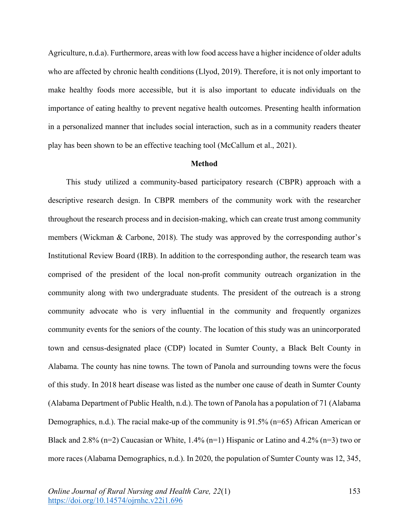Agriculture, n.d.a). Furthermore, areas with low food access have a higher incidence of older adults who are affected by chronic health conditions (Llyod, 2019). Therefore, it is not only important to make healthy foods more accessible, but it is also important to educate individuals on the importance of eating healthy to prevent negative health outcomes. Presenting health information in a personalized manner that includes social interaction, such as in a community readers theater play has been shown to be an effective teaching tool (McCallum et al., 2021).

# **Method**

This study utilized a community-based participatory research (CBPR) approach with a descriptive research design. In CBPR members of the community work with the researcher throughout the research process and in decision-making, which can create trust among community members (Wickman & Carbone, 2018). The study was approved by the corresponding author's Institutional Review Board (IRB). In addition to the corresponding author, the research team was comprised of the president of the local non-profit community outreach organization in the community along with two undergraduate students. The president of the outreach is a strong community advocate who is very influential in the community and frequently organizes community events for the seniors of the county. The location of this study was an unincorporated town and census-designated place (CDP) located in Sumter County, a Black Belt County in Alabama. The county has nine towns. The town of Panola and surrounding towns were the focus of this study. In 2018 heart disease was listed as the number one cause of death in Sumter County (Alabama Department of Public Health, n.d.). The town of Panola has a population of 71 (Alabama Demographics, n.d.). The racial make-up of the community is 91.5% (n=65) African American or Black and 2.8% (n=2) Caucasian or White,  $1.4\%$  (n=1) Hispanic or Latino and  $4.2\%$  (n=3) two or more races (Alabama Demographics, n.d.). In 2020, the population of Sumter County was 12, 345,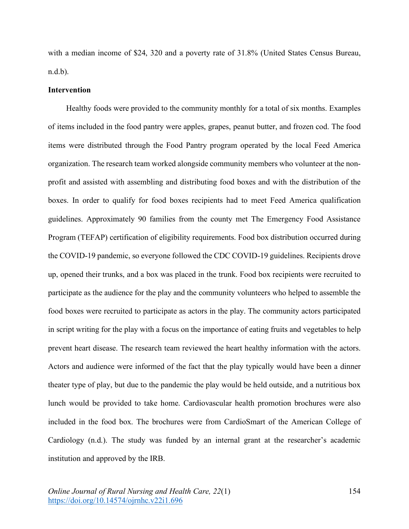with a median income of \$24, 320 and a poverty rate of 31.8% (United States Census Bureau, n.d.b).

#### **Intervention**

Healthy foods were provided to the community monthly for a total of six months. Examples of items included in the food pantry were apples, grapes, peanut butter, and frozen cod. The food items were distributed through the Food Pantry program operated by the local Feed America organization. The research team worked alongside community members who volunteer at the nonprofit and assisted with assembling and distributing food boxes and with the distribution of the boxes. In order to qualify for food boxes recipients had to meet Feed America qualification guidelines. Approximately 90 families from the county met The Emergency Food Assistance Program (TEFAP) certification of eligibility requirements. Food box distribution occurred during the COVID-19 pandemic, so everyone followed the CDC COVID-19 guidelines. Recipients drove up, opened their trunks, and a box was placed in the trunk. Food box recipients were recruited to participate as the audience for the play and the community volunteers who helped to assemble the food boxes were recruited to participate as actors in the play. The community actors participated in script writing for the play with a focus on the importance of eating fruits and vegetables to help prevent heart disease. The research team reviewed the heart healthy information with the actors. Actors and audience were informed of the fact that the play typically would have been a dinner theater type of play, but due to the pandemic the play would be held outside, and a nutritious box lunch would be provided to take home. Cardiovascular health promotion brochures were also included in the food box. The brochures were from CardioSmart of the American College of Cardiology (n.d.). The study was funded by an internal grant at the researcher's academic institution and approved by the IRB.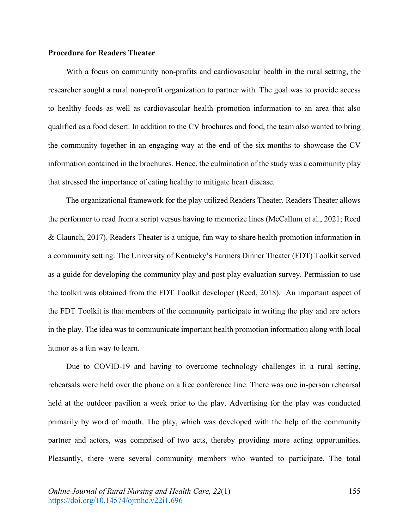# **Procedure for Readers Theater**

With a focus on community non-profits and cardiovascular health in the rural setting, the researcher sought a rural non-profit organization to partner with. The goal was to provide access to healthy foods as well as cardiovascular health promotion information to an area that also qualified as a food desert. In addition to the CV brochures and food, the team also wanted to bring the community together in an engaging way at the end of the six-months to showcase the CV information contained in the brochures. Hence, the culmination of the study was a community play that stressed the importance of eating healthy to mitigate heart disease.

The organizational framework for the play utilized Readers Theater. Readers Theater allows the performer to read from a script versus having to memorize lines (McCallum et al., 2021; Reed & Claunch, 2017). Readers Theater is a unique, fun way to share health promotion information in a community setting. The University of Kentucky's Farmers Dinner Theater (FDT) Toolkit served as a guide for developing the community play and post play evaluation survey. Permission to use the toolkit was obtained from the FDT Toolkit developer (Reed, 2018). An important aspect of the FDT Toolkit is that members of the community participate in writing the play and are actors in the play. The idea was to communicate important health promotion information along with local humor as a fun way to learn.

Due to COVID-19 and having to overcome technology challenges in a rural setting, rehearsals were held over the phone on a free conference line. There was one in-person rehearsal held at the outdoor pavilion a week prior to the play. Advertising for the play was conducted primarily by word of mouth. The play, which was developed with the help of the community partner and actors, was comprised of two acts, thereby providing more acting opportunities. Pleasantly, there were several community members who wanted to participate. The total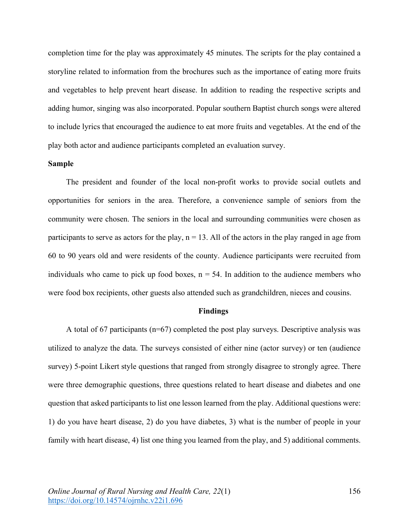completion time for the play was approximately 45 minutes. The scripts for the play contained a storyline related to information from the brochures such as the importance of eating more fruits and vegetables to help prevent heart disease. In addition to reading the respective scripts and adding humor, singing was also incorporated. Popular southern Baptist church songs were altered to include lyrics that encouraged the audience to eat more fruits and vegetables. At the end of the play both actor and audience participants completed an evaluation survey.

# **Sample**

The president and founder of the local non-profit works to provide social outlets and opportunities for seniors in the area. Therefore, a convenience sample of seniors from the community were chosen. The seniors in the local and surrounding communities were chosen as participants to serve as actors for the play,  $n = 13$ . All of the actors in the play ranged in age from 60 to 90 years old and were residents of the county. Audience participants were recruited from individuals who came to pick up food boxes,  $n = 54$ . In addition to the audience members who were food box recipients, other guests also attended such as grandchildren, nieces and cousins.

### **Findings**

A total of 67 participants (n=67) completed the post play surveys. Descriptive analysis was utilized to analyze the data. The surveys consisted of either nine (actor survey) or ten (audience survey) 5-point Likert style questions that ranged from strongly disagree to strongly agree. There were three demographic questions, three questions related to heart disease and diabetes and one question that asked participants to list one lesson learned from the play. Additional questions were: 1) do you have heart disease, 2) do you have diabetes, 3) what is the number of people in your family with heart disease, 4) list one thing you learned from the play, and 5) additional comments.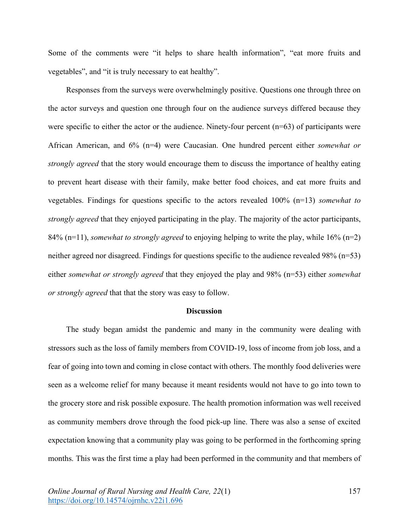Some of the comments were "it helps to share health information", "eat more fruits and vegetables", and "it is truly necessary to eat healthy".

Responses from the surveys were overwhelmingly positive. Questions one through three on the actor surveys and question one through four on the audience surveys differed because they were specific to either the actor or the audience. Ninety-four percent (n=63) of participants were African American, and 6% (n=4) were Caucasian. One hundred percent either *somewhat or strongly agreed* that the story would encourage them to discuss the importance of healthy eating to prevent heart disease with their family, make better food choices, and eat more fruits and vegetables. Findings for questions specific to the actors revealed 100% (n=13) *somewhat to strongly agreed* that they enjoyed participating in the play. The majority of the actor participants, 84% (n=11), *somewhat to strongly agreed* to enjoying helping to write the play, while 16% (n=2) neither agreed nor disagreed. Findings for questions specific to the audience revealed 98% (n=53) either *somewhat or strongly agreed* that they enjoyed the play and 98% (n=53) either *somewhat or strongly agreed* that that the story was easy to follow.

#### **Discussion**

The study began amidst the pandemic and many in the community were dealing with stressors such as the loss of family members from COVID-19, loss of income from job loss, and a fear of going into town and coming in close contact with others. The monthly food deliveries were seen as a welcome relief for many because it meant residents would not have to go into town to the grocery store and risk possible exposure. The health promotion information was well received as community members drove through the food pick-up line. There was also a sense of excited expectation knowing that a community play was going to be performed in the forthcoming spring months. This was the first time a play had been performed in the community and that members of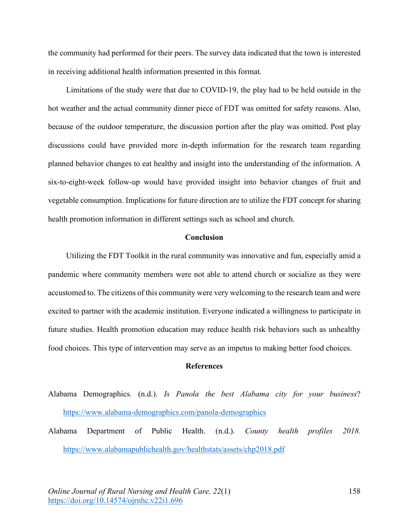the community had performed for their peers. The survey data indicated that the town is interested in receiving additional health information presented in this format.

Limitations of the study were that due to COVID-19, the play had to be held outside in the hot weather and the actual community dinner piece of FDT was omitted for safety reasons. Also, because of the outdoor temperature, the discussion portion after the play was omitted. Post play discussions could have provided more in-depth information for the research team regarding planned behavior changes to eat healthy and insight into the understanding of the information. A six-to-eight-week follow-up would have provided insight into behavior changes of fruit and vegetable consumption. Implications for future direction are to utilize the FDT concept for sharing health promotion information in different settings such as school and church.

# **Conclusion**

Utilizing the FDT Toolkit in the rural community was innovative and fun, especially amid a pandemic where community members were not able to attend church or socialize as they were accustomed to. The citizens of this community were very welcoming to the research team and were excited to partner with the academic institution. Everyone indicated a willingness to participate in future studies. Health promotion education may reduce health risk behaviors such as unhealthy food choices. This type of intervention may serve as an impetus to making better food choices.

## **References**

- Alabama Demographics. (n.d.). *Is Panola the best Alabama city for your business*? https://www.alabama-demographics.com/panola-demographics
- Alabama Department of Public Health. (n.d.). *County health profiles 2018.* https://www.alabamapublichealth.gov/healthstats/assets/chp2018.pdf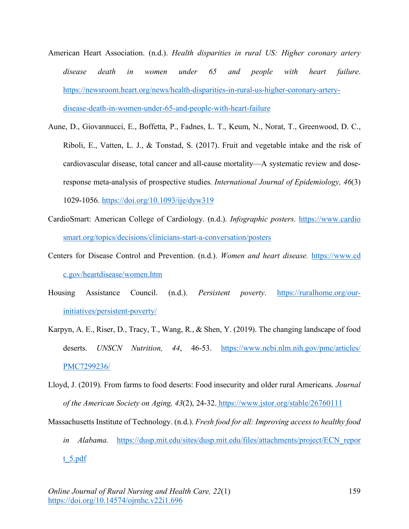- American Heart Association. (n.d.). *Health disparities in rural US: Higher coronary artery disease death in women under 65 and people with heart failure*. https://newsroom.heart.org/news/health-disparities-in-rural-us-higher-coronary-arterydisease-death-in-women-under-65-and-people-with-heart-failure
- Aune, D., Giovannucci, E., Boffetta, P., Fadnes, L. T., Keum, N., Norat, T., Greenwood, D. C., Riboli, E., Vatten, L. J., & Tonstad, S. (2017). Fruit and vegetable intake and the risk of cardiovascular disease, total cancer and all-cause mortality—A systematic review and doseresponse meta-analysis of prospective studies. *International Journal of Epidemiology, 46*(3) 1029-1056. https://doi.org/10.1093/ije/dyw319
- CardioSmart: American College of Cardiology. (n.d.). *Infographic posters*. https://www.cardio smart.org/topics/decisions/clinicians-start-a-conversation/posters
- Centers for Disease Control and Prevention. (n.d.). *Women and heart disease.* https://www.cd c.gov/heartdisease/women.htm
- Housing Assistance Council. (n.d.). *Persistent poverty*. https://ruralhome.org/ourinitiatives/persistent-poverty/
- Karpyn, A. E., Riser, D., Tracy, T., Wang, R., & Shen, Y. (2019). The changing landscape of food deserts. *UNSCN Nutrition, 44*, 46-53. https://www.ncbi.nlm.nih.gov/pmc/articles/ PMC7299236/
- Lloyd, J. (2019). From farms to food deserts: Food insecurity and older rural Americans. *Journal of the American Society on Aging, 43*(2), 24-32. https://www.jstor.org/stable/26760111
- Massachusetts Institute of Technology. (n.d.). *Fresh food for all: Improving access to healthy food in Alabama.* https://dusp.mit.edu/sites/dusp.mit.edu/files/attachments/project/ECN\_repor

 $t$  5.pdf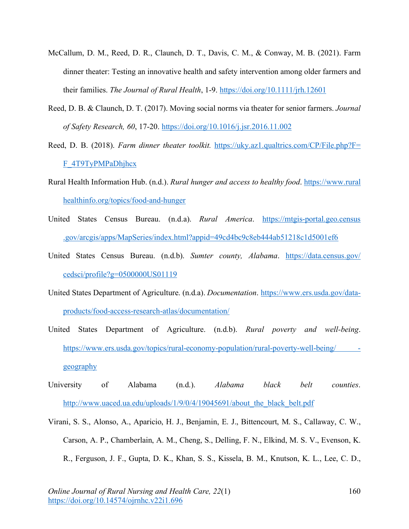- McCallum, D. M., Reed, D. R., Claunch, D. T., Davis, C. M., & Conway, M. B. (2021). Farm dinner theater: Testing an innovative health and safety intervention among older farmers and their families. *The Journal of Rural Health*, 1-9. https://doi.org/10.1111/jrh.12601
- Reed, D. B. & Claunch, D. T. (2017). Moving social norms via theater for senior farmers. *Journal of Safety Research, 60*, 17-20. https://doi.org/10.1016/j.jsr.2016.11.002
- Reed, D. B. (2018). *Farm dinner theater toolkit.* https://uky.az1.qualtrics.com/CP/File.php?F= F\_4T9TyPMPaDhjhcx
- Rural Health Information Hub. (n.d.). *Rural hunger and access to healthy food*. https://www.rural healthinfo.org/topics/food-and-hunger
- United States Census Bureau. (n.d.a). *Rural America*. https://mtgis-portal.geo.census .gov/arcgis/apps/MapSeries/index.html?appid=49cd4bc9c8eb444ab51218c1d5001ef6
- United States Census Bureau. (n.d.b). *Sumter county, Alabama*. https://data.census.gov/ cedsci/profile?g=0500000US01119
- United States Department of Agriculture. (n.d.a). *Documentation*. https://www.ers.usda.gov/dataproducts/food-access-research-atlas/documentation/
- United States Department of Agriculture. (n.d.b). *Rural poverty and well-being*. https://www.ers.usda.gov/topics/rural-economy-population/rural-poverty-well-being/ geography
- University of Alabama (n.d.). *Alabama black belt counties*. http://www.uaced.ua.edu/uploads/1/9/0/4/19045691/about\_the\_black\_belt.pdf
- Virani, S. S., Alonso, A., Aparicio, H. J., Benjamin, E. J., Bittencourt, M. S., Callaway, C. W., Carson, A. P., Chamberlain, A. M., Cheng, S., Delling, F. N., Elkind, M. S. V., Evenson, K. R., Ferguson, J. F., Gupta, D. K., Khan, S. S., Kissela, B. M., Knutson, K. L., Lee, C. D.,